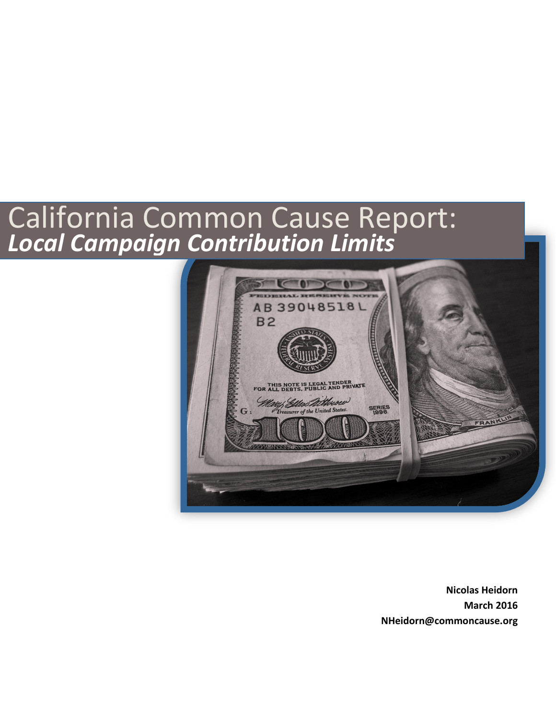# California Common Cause Report: *Local Campaign Contribution Limits*



**Nicolas Heidorn March 2016 NHeidorn@commoncause.org**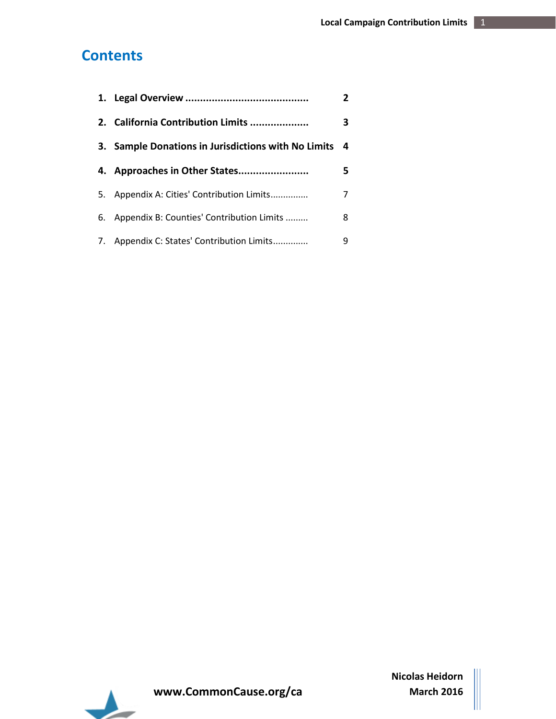## <span id="page-1-0"></span>**Contents**

|    |                                                     | 2 |
|----|-----------------------------------------------------|---|
|    | 2. California Contribution Limits                   | 3 |
|    | 3. Sample Donations in Jurisdictions with No Limits | 4 |
|    |                                                     | 5 |
|    | 5. Appendix A: Cities' Contribution Limits          | 7 |
| 6. | Appendix B: Counties' Contribution Limits           | 8 |
|    | 7. Appendix C: States' Contribution Limits          | q |

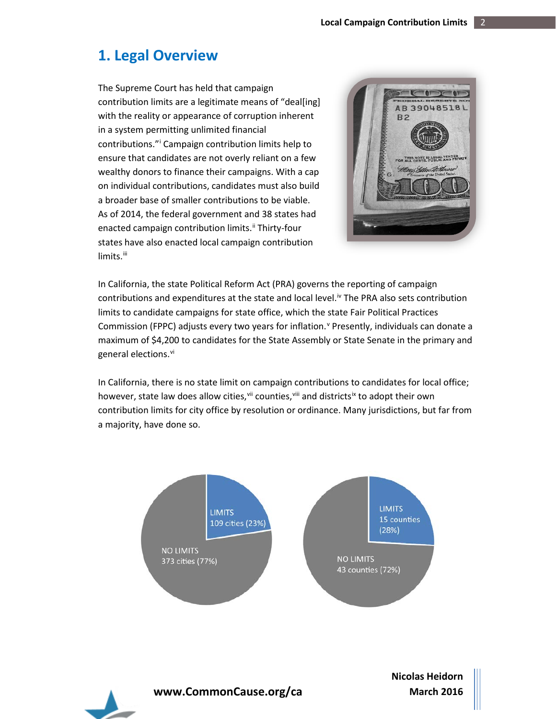## <span id="page-2-0"></span>**1. Legal Overview**

The Supreme Court has held that campaign contribution limits are a legitimate means of "deal[ing] with the reality or appearance of corruption inherent in a system permitting unlimited financial contributions."[i](#page-6-0) Campaign contribution limits help to ensure that candidates are not overly reliant on a few wealthy donors to finance their campaigns. With a cap on individual contributions, candidates must also build a broader base of smaller contributions to be viable. As of 2014, the federal government and 38 states had enacted campaign contribution limits.<sup>[ii](#page-6-1)</sup> Thirty-four states have also enacted local campaign contribution limits.<sup>[iii](#page-6-2)</sup>



In California, the state Political Reform Act (PRA) governs the reporting of campaign contributions and expenditures at the state and local level.<sup>iv</sup> The PRA also sets contribution limits to candidate campaigns for state office, which the state Fair Political Practices Commission (FPPC) adjusts e[v](#page-6-4)ery two years for inflation. <sup>Y</sup> Presently, individuals can donate a maximum of \$4,200 to candidates for the State Assembly or State Senate in the primary and general elections. [vi](#page-6-5)

In California, there is no state limit on campaign contributions to candidates for local office; however, state law does allow cities, vill counties, vill and districts<sup>[ix](#page-6-8)</sup> to adopt their own contribution limits for city office by resolution or ordinance. Many jurisdictions, but far from a majority, have done so.



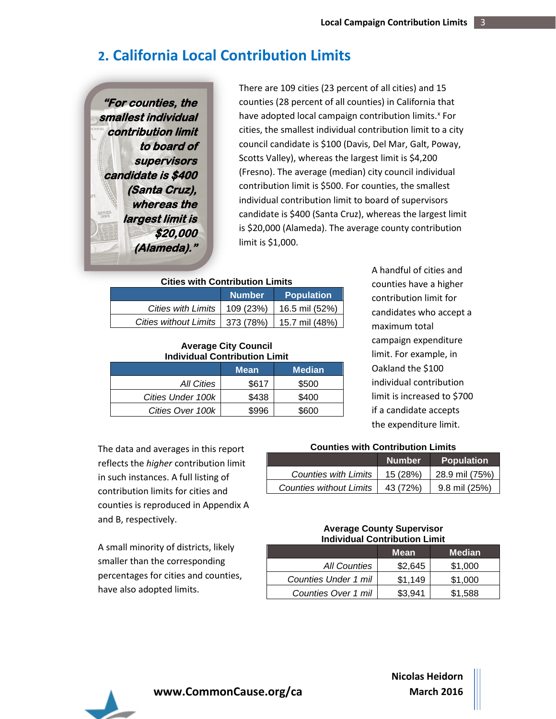## **2. California Local Contribution Limits**

**"For counties, the smallest individual contribution limit to board of supervisors candidate is \$400 (Santa Cruz), whereas the largest limit is \$20,000 (Alameda)."** 

There are 109 cities (23 percent of all cities) and 15 counties (28 percent of all counties) in California that have adopted local campaign contribution limits.<sup>[x](#page-6-9)</sup> For cities, the smallest individual contribution limit to a city council candidate is \$100 (Davis, Del Mar, Galt, Poway, Scotts Valley), whereas the largest limit is \$4,200 (Fresno). The average (median) city council individual contribution limit is \$500. For counties, the smallest individual contribution limit to board of supervisors candidate is \$400 (Santa Cruz), whereas the largest limit is \$20,000 (Alameda). The average county contribution limit is \$1,000.

#### **Cities with Contribution Limits**

|                                                    | <b>Number</b> | <b>Population</b> |
|----------------------------------------------------|---------------|-------------------|
| Cities with Limits   109 (23%)   16.5 mil (52%)    |               |                   |
| Cities without Limits   373 (78%)   15.7 mil (48%) |               |                   |

#### **Average City Council Individual Contribution Limit**

|                   | <b>Mean</b> | <b>Median</b> |
|-------------------|-------------|---------------|
| All Cities        | \$617       | \$500         |
| Cities Under 100k | \$438       | \$400         |
| Cities Over 100k  | \$996       | \$600         |

A handful of cities and counties have a higher contribution limit for candidates who accept a maximum total campaign expenditure limit. For example, in Oakland the \$100 individual contribution limit is increased to \$700 if a candidate accepts the expenditure limit.

The data and averages in this report reflects the *higher* contribution limit in such instances. A full listing of contribution limits for cities and counties is reproduced in Appendix A and B, respectively.

A small minority of districts, likely smaller than the corresponding percentages for cities and counties, have also adopted limits.

#### **Counties with Contribution Limits**

|                                | <b>Number</b> | <b>Population</b> |
|--------------------------------|---------------|-------------------|
| <b>Counties with Limits</b>    | 15(28%)       | 28.9 mil (75%)    |
| <b>Counties without Limits</b> | 43 (72%)      | 9.8 mil (25%)     |

#### **Average County Supervisor Individual Contribution Limit**

|                      | <b>Mean</b> | Median  |
|----------------------|-------------|---------|
| <b>All Counties</b>  | \$2,645     | \$1,000 |
| Counties Under 1 mil | \$1.149     | \$1,000 |
| Counties Over 1 mil  | \$3.941     | \$1,588 |



**www.CommonCause.org/ca**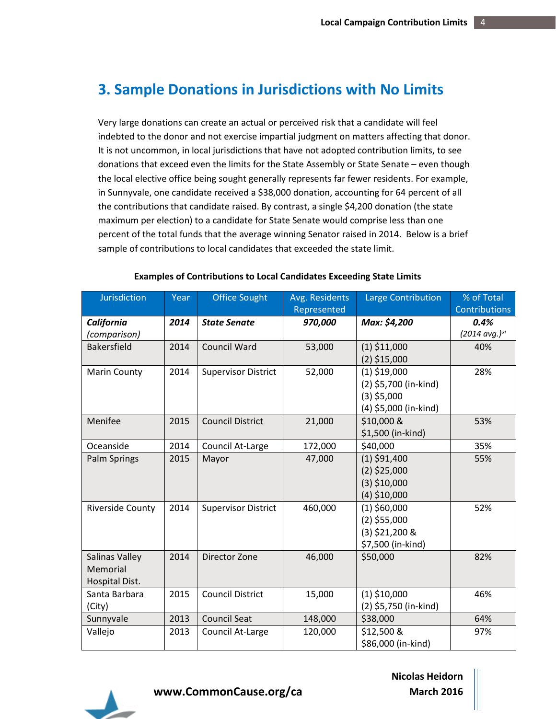## **3. Sample Donations in Jurisdictions with No Limits**

Very large donations can create an actual or perceived risk that a candidate will feel indebted to the donor and not exercise impartial judgment on matters affecting that donor. It is not uncommon, in local jurisdictions that have not adopted contribution limits, to see donations that exceed even the limits for the State Assembly or State Senate – even though the local elective office being sought generally represents far fewer residents. For example, in Sunnyvale, one candidate received a \$38,000 donation, accounting for 64 percent of all the contributions that candidate raised. By contrast, a single \$4,200 donation (the state maximum per election) to a candidate for State Senate would comprise less than one percent of the total funds that the average winning Senator raised in 2014. Below is a brief sample of contributions to local candidates that exceeded the state limit.

| <b>Jurisdiction</b>     | Year | <b>Office Sought</b>       | Avg. Residents<br>Represented | Large Contribution    | % of Total<br><b>Contributions</b> |
|-------------------------|------|----------------------------|-------------------------------|-----------------------|------------------------------------|
| California              | 2014 | <b>State Senate</b>        | 970,000                       | Max: \$4,200          | 0.4%                               |
| (comparison)            |      |                            |                               |                       | (2014 avg.) <sup>xi</sup>          |
| <b>Bakersfield</b>      | 2014 | <b>Council Ward</b>        | 53,000                        | $(1)$ \$11,000        | 40%                                |
|                         |      |                            |                               | $(2)$ \$15,000        |                                    |
| <b>Marin County</b>     | 2014 | <b>Supervisor District</b> | 52,000                        | $(1)$ \$19,000        | 28%                                |
|                         |      |                            |                               | (2) \$5,700 (in-kind) |                                    |
|                         |      |                            |                               | $(3)$ \$5,000         |                                    |
|                         |      |                            |                               | (4) \$5,000 (in-kind) |                                    |
| Menifee                 | 2015 | <b>Council District</b>    | 21,000                        | \$10,000 &            | 53%                                |
|                         |      |                            |                               | \$1,500 (in-kind)     |                                    |
| Oceanside               | 2014 | Council At-Large           | 172,000                       | \$40,000              | 35%                                |
| Palm Springs            | 2015 | Mayor                      | 47,000                        | $(1)$ \$91,400        | 55%                                |
|                         |      |                            |                               | $(2)$ \$25,000        |                                    |
|                         |      |                            |                               | $(3)$ \$10,000        |                                    |
|                         |      |                            |                               | $(4)$ \$10,000        |                                    |
| <b>Riverside County</b> | 2014 | <b>Supervisor District</b> | 460,000                       | $(1)$ \$60,000        | 52%                                |
|                         |      |                            |                               | $(2)$ \$55,000        |                                    |
|                         |      |                            |                               | $(3)$ \$21,200 &      |                                    |
|                         |      |                            |                               | \$7,500 (in-kind)     |                                    |
| Salinas Valley          | 2014 | Director Zone              | 46,000                        | \$50,000              | 82%                                |
| Memorial                |      |                            |                               |                       |                                    |
| Hospital Dist.          |      |                            |                               |                       |                                    |
| Santa Barbara           | 2015 | <b>Council District</b>    | 15,000                        | $(1)$ \$10,000        | 46%                                |
| (City)                  |      |                            |                               | (2) \$5,750 (in-kind) |                                    |
| Sunnyvale               | 2013 | <b>Council Seat</b>        | 148,000                       | \$38,000              | 64%                                |
| Vallejo                 | 2013 | Council At-Large           | 120,000                       | \$12,500 &            | 97%                                |
|                         |      |                            |                               | \$86,000 (in-kind)    |                                    |

#### **Examples of Contributions to Local Candidates Exceeding State Limits**



**www.CommonCause.org/ca**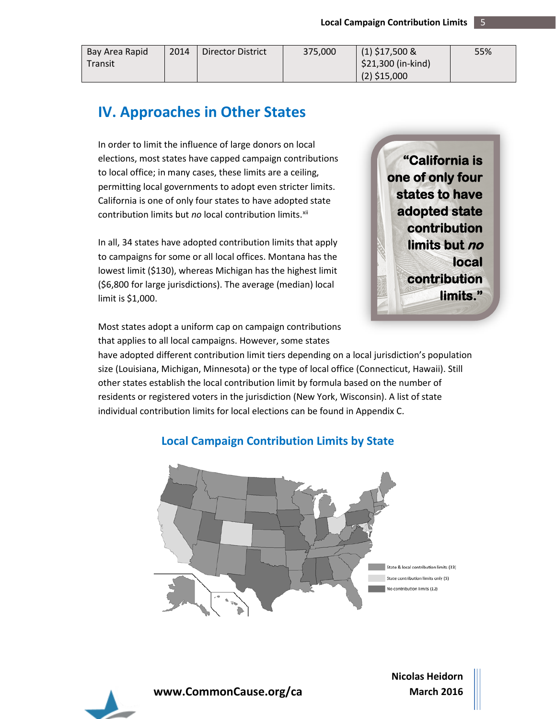| Bay Area Rapid | 2014 | Director District | 375.000 | $(1)$ \$17,500 &    | 55% |
|----------------|------|-------------------|---------|---------------------|-----|
| Transit        |      |                   |         | $$21,300$ (in-kind) |     |
|                |      |                   |         | $(2)$ \$15,000      |     |

## **IV. Approaches in Other States**

In order to limit the influence of large donors on local elections, most states have capped campaign contributions to local office; in many cases, these limits are a ceiling, permitting local governments to adopt even stricter limits. California is one of only four states to have adopted state contribution limits but *no* local contribution limits.<sup>xii</sup>

In all, 34 states have adopted contribution limits that apply to campaigns for some or all local offices. Montana has the lowest limit (\$130), whereas Michigan has the highest limit (\$6,800 for large jurisdictions). The average (median) local limit is \$1,000.

**"California is one of only four states to have adopted state contribution limits but no local contribution limits."** 

Most states adopt a uniform cap on campaign contributions that applies to all local campaigns. However, some states

have adopted different contribution limit tiers depending on a local jurisdiction's population size (Louisiana, Michigan, Minnesota) or the type of local office (Connecticut, Hawaii). Still other states establish the local contribution limit by formula based on the number of residents or registered voters in the jurisdiction (New York, Wisconsin). A list of state individual contribution limits for local elections can be found in Appendix C.

**Local Campaign Contribution Limits by State**

## State & local contribution limits (33) State contribution limits only (5) No contribution limits (12)



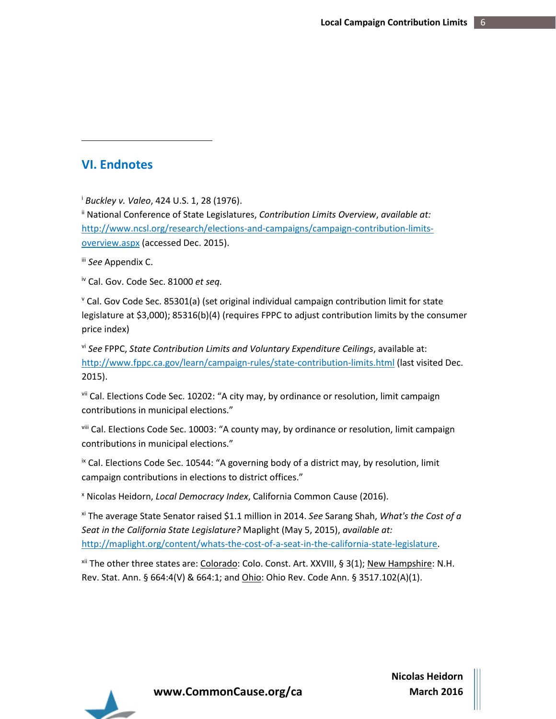#### <span id="page-6-0"></span>**VI. Endnotes**

 $\overline{a}$ 

<sup>i</sup> *Buckley v. Valeo*, 424 U.S. 1, 28 (1976).

<span id="page-6-1"></span>ii National Conference of State Legislatures, *Contribution Limits Overview*, *available at:* [http://www.ncsl.org/research/elections-and-campaigns/campaign-contribution-limits](http://www.ncsl.org/research/elections-and-campaigns/campaign-contribution-limits-overview.aspx)[overview.aspx](http://www.ncsl.org/research/elections-and-campaigns/campaign-contribution-limits-overview.aspx) (accessed Dec. 2015).

<span id="page-6-2"></span>iii *See* Appendix C.

<span id="page-6-3"></span>iv Cal. Gov. Code Sec. 81000 *et seq.*

<span id="page-6-4"></span> $\textdegree$  Cal. Gov Code Sec. 85301(a) (set original individual campaign contribution limit for state legislature at \$3,000); 85316(b)(4) (requires FPPC to adjust contribution limits by the consumer price index)

<span id="page-6-5"></span>vi *See* FPPC, *State Contribution Limits and Voluntary Expenditure Ceilings*, available at: <http://www.fppc.ca.gov/learn/campaign-rules/state-contribution-limits.html> (last visited Dec. 2015).

<span id="page-6-6"></span>vii Cal. Elections Code Sec. 10202: "A city may, by ordinance or resolution, limit campaign contributions in municipal elections."

<span id="page-6-7"></span>viii Cal. Elections Code Sec. 10003: "A county may, by ordinance or resolution, limit campaign contributions in municipal elections."

<span id="page-6-8"></span><sup>ix</sup> Cal. Elections Code Sec. 10544: "A governing body of a district may, by resolution, limit campaign contributions in elections to district offices."

<span id="page-6-9"></span><sup>x</sup> Nicolas Heidorn, *Local Democracy Index*, California Common Cause (2016).

<span id="page-6-10"></span>xi The average State Senator raised \$1.1 million in 2014. *See* Sarang Shah, *What's the Cost of a Seat in the California State Legislature?* Maplight (May 5, 2015), *available at:* [http://maplight.org/content/whats-the-cost-of-a-seat-in-the-california-state-legislature.](http://maplight.org/content/whats-the-cost-of-a-seat-in-the-california-state-legislature)

<span id="page-6-11"></span>xii The other three states are: Colorado: Colo. Const. Art. XXVIII, § 3(1); New Hampshire: N.H. Rev. Stat. Ann. § 664:4(V) & 664:1; and *Ohio*: Ohio Rev. Code Ann. § 3517.102(A)(1).



**www.CommonCause.org/ca**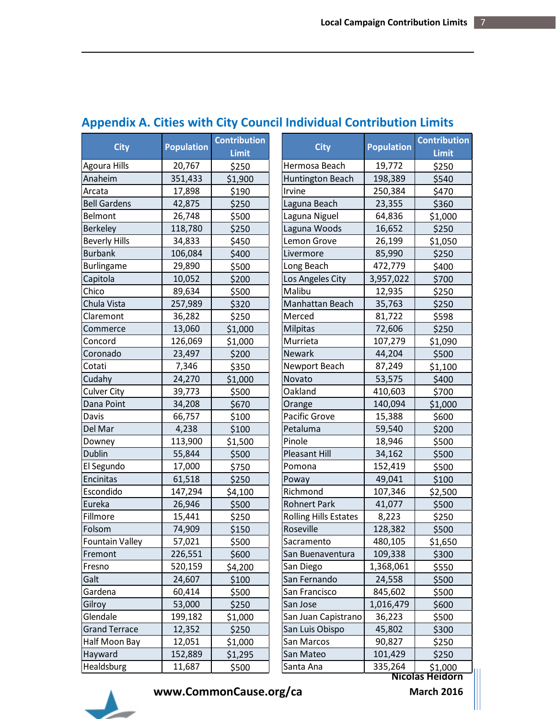| <b>City</b>            | <b>Population</b> | <b>Contribution</b><br><b>Limit</b> | <b>City</b>                  | <b>Population</b> | <b>Contribution</b><br>Limit |
|------------------------|-------------------|-------------------------------------|------------------------------|-------------------|------------------------------|
| Agoura Hills           | 20,767            | \$250                               | Hermosa Beach                | 19,772            | \$250                        |
| Anaheim                | 351,433           | \$1,900                             | <b>Huntington Beach</b>      | 198,389           | \$540                        |
| Arcata                 | 17,898            | \$190                               | Irvine                       | 250,384           | \$470                        |
| <b>Bell Gardens</b>    | 42,875            | \$250                               | Laguna Beach                 | 23,355            | \$360                        |
| <b>Belmont</b>         | 26,748            | \$500                               | Laguna Niguel                | 64,836            | \$1,000                      |
| <b>Berkeley</b>        | 118,780           | \$250                               | Laguna Woods                 | 16,652            | \$250                        |
| <b>Beverly Hills</b>   | 34,833            | \$450                               | Lemon Grove                  | 26,199            | \$1,050                      |
| <b>Burbank</b>         | 106,084           | \$400                               | Livermore                    | 85,990            | \$250                        |
| <b>Burlingame</b>      | 29,890            | \$500                               | Long Beach                   | 472,779           | \$400                        |
| Capitola               | 10,052            | \$200                               | Los Angeles City             | 3,957,022         | \$700                        |
| Chico                  | 89,634            | \$500                               | Malibu                       | 12,935            | \$250                        |
| Chula Vista            | 257,989           | \$320                               | Manhattan Beach              | 35,763            | \$250                        |
| Claremont              | 36,282            | \$250                               | Merced                       | 81,722            | \$598                        |
| Commerce               | 13,060            | \$1,000                             | Milpitas                     | 72,606            | \$250                        |
| Concord                | 126,069           | \$1,000                             | Murrieta                     | 107,279           | \$1,090                      |
| Coronado               | 23,497            | \$200                               | <b>Newark</b>                | 44,204            | \$500                        |
| Cotati                 | 7,346             | \$350                               | Newport Beach                | 87,249            | \$1,100                      |
| Cudahy                 | 24,270            | \$1,000                             | Novato                       | 53,575            | \$400                        |
| <b>Culver City</b>     | 39,773            | \$500                               | Oakland                      | 410,603           | \$700                        |
| Dana Point             | 34,208            | \$670                               | Orange                       | 140,094           | \$1,000                      |
| Davis                  | 66,757            | \$100                               | Pacific Grove                | 15,388            | \$600                        |
| Del Mar                | 4,238             | \$100                               | Petaluma                     | 59,540            | \$200                        |
| Downey                 | 113,900           | \$1,500                             | Pinole                       | 18,946            | \$500                        |
| <b>Dublin</b>          | 55,844            | \$500                               | <b>Pleasant Hill</b>         | 34,162            | \$500                        |
| El Segundo             | 17,000            | \$750                               | Pomona                       | 152,419           | \$500                        |
| Encinitas              | 61,518            | \$250                               | Poway                        | 49,041            | \$100                        |
| Escondido              | 147,294           | \$4,100                             | Richmond                     | 107,346           | \$2,500                      |
| Eureka                 | 26,946            | \$500                               | <b>Rohnert Park</b>          | 41,077            | \$500                        |
| Fillmore               | 15,441            | \$250                               | <b>Rolling Hills Estates</b> | 8,223             | \$250                        |
| Folsom                 | 74,909            | \$150                               | Roseville                    | 128,382           | \$500                        |
| <b>Fountain Valley</b> | 57,021            | \$500                               | Sacramento                   | 480,105           | \$1,650                      |
| Fremont                | 226,551           | \$600                               | San Buenaventura             | 109,338           | \$300                        |
| Fresno                 | 520,159           | \$4,200                             | San Diego                    | 1,368,061         | \$550                        |
| Galt                   | 24,607            | \$100                               | San Fernando                 | 24,558            | \$500                        |
| Gardena                | 60,414            | \$500                               | San Francisco                | 845,602           | \$500                        |
| Gilroy                 | 53,000            | \$250                               | San Jose                     | 1,016,479         | \$600                        |
| Glendale               | 199,182           | \$1,000                             | San Juan Capistrano          | 36,223            | \$500                        |
| <b>Grand Terrace</b>   | 12,352            | \$250                               | San Luis Obispo              | 45,802            | \$300                        |
| Half Moon Bay          | 12,051            | \$1,000                             | San Marcos                   | 90,827            | \$250                        |
| Hayward                | 152,889           | \$1,295                             | San Mateo                    | 101,429           | \$250                        |
| Healdsburg             | 11,687            | \$500                               | Santa Ana                    | 335,264           | \$1,000                      |

## **Appendix A. Cities with City Council Individual Contribution Limits**



 $\overline{\phantom{a}}$ 

**www.CommonCause.org/ca**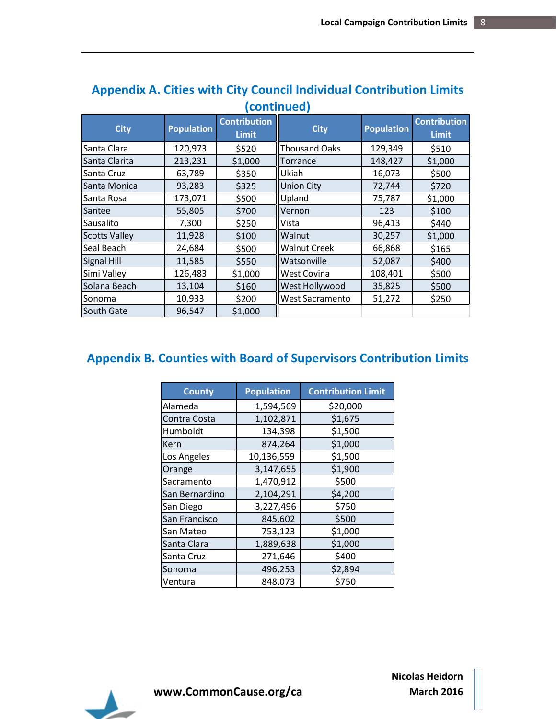| <u>ICONUNIUCAI</u>   |                   |                                     |                     |                   |                                     |  |  |
|----------------------|-------------------|-------------------------------------|---------------------|-------------------|-------------------------------------|--|--|
| <b>City</b>          | <b>Population</b> | <b>Contribution</b><br><b>Limit</b> | <b>City</b>         | <b>Population</b> | <b>Contribution</b><br><b>Limit</b> |  |  |
| Santa Clara          | 120,973           | \$520                               | Thousand Oaks       | 129,349           | \$510                               |  |  |
| Santa Clarita        | 213,231           | \$1,000                             | Torrance            | 148,427           | \$1,000                             |  |  |
| Santa Cruz           | 63,789            | \$350                               | Ukiah               | 16,073            | \$500                               |  |  |
| Santa Monica         | 93,283            | \$325                               | <b>Union City</b>   | 72,744            | \$720                               |  |  |
| Santa Rosa           | 173,071           | \$500                               | Upland              | 75,787            | \$1,000                             |  |  |
| Santee               | 55,805            | \$700                               | Vernon              | 123               | \$100                               |  |  |
| Sausalito            | 7,300             | \$250                               | Vista               | 96,413            | \$440                               |  |  |
| <b>Scotts Valley</b> | 11,928            | \$100                               | Walnut              | 30,257            | \$1,000                             |  |  |
| Seal Beach           | 24,684            | \$500                               | <b>Walnut Creek</b> | 66,868            | \$165                               |  |  |
| <b>Signal Hill</b>   | 11,585            | \$550                               | Watsonville         | 52,087            | \$400                               |  |  |
| Simi Valley          | 126,483           | \$1,000                             | West Covina         | 108,401           | \$500                               |  |  |
| Solana Beach         | 13,104            | \$160                               | West Hollywood      | 35,825            | \$500                               |  |  |
| Sonoma               | 10,933            | \$200                               | West Sacramento     | 51,272            | \$250                               |  |  |
| South Gate           | 96,547            | \$1,000                             |                     |                   |                                     |  |  |

## **Appendix A. Cities with City Council Individual Contribution Limits (continued)**

## **Appendix B. Counties with Board of Supervisors Contribution Limits**

| <b>County</b>  | <b>Population</b> | <b>Contribution Limit</b> |  |
|----------------|-------------------|---------------------------|--|
| Alameda        | 1,594,569         | \$20,000                  |  |
| Contra Costa   | 1,102,871         | \$1,675                   |  |
| Humboldt       | 134,398           | \$1,500                   |  |
| Kern           | 874,264           | \$1,000                   |  |
| Los Angeles    | 10,136,559        | \$1,500                   |  |
| Orange         | 3,147,655         | \$1,900                   |  |
| Sacramento     | 1,470,912         | \$500                     |  |
| San Bernardino | 2,104,291         | \$4,200                   |  |
| San Diego      | 3,227,496         | \$750                     |  |
| San Francisco  | 845,602           | \$500                     |  |
| San Mateo      | 753,123           | \$1,000                   |  |
| Santa Clara    | 1,889,638         | \$1,000                   |  |
| Santa Cruz     | 271,646           | \$400                     |  |
| Sonoma         | 496,253           | \$2,894                   |  |
| Ventura        | 848,073           | \$750                     |  |



 $\overline{\phantom{a}}$ 

**www.CommonCause.org/ca**